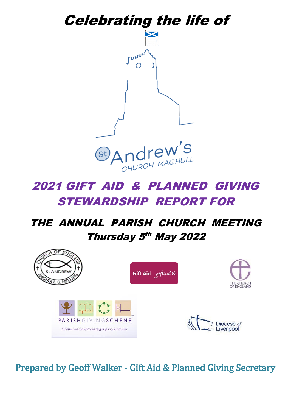

# 2021 GIFT AID & PLANNED GIVING STEWARDSHIP REPORT FOR

## THE ANNUAL PARISH CHURCH MEETING Thursday 5<sup>th</sup> May 2022



## Prepared by Geoff Walker - Gift Aid & Planned Giving Secretary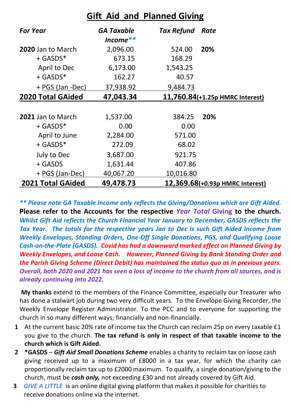| <b>Gift Aid and Planned Giving</b> |                               |                   |                                 |
|------------------------------------|-------------------------------|-------------------|---------------------------------|
| <b>For Year</b>                    | <b>GA Taxable</b><br>Income** | <b>Tax Refund</b> | Rate                            |
| <b>2020</b> Jan to March           | 2,096.00                      | 524.00            | 20%                             |
| + GASDS*                           | 673.15                        | 168.29            |                                 |
| April to Dec                       | 6,173.00                      | 1,543.25          |                                 |
| + GASDS*                           | 162.27                        | 40.57             |                                 |
| + PGS (Jan -Dec)                   | 37,938.92                     | 9,484.73          |                                 |
| 2020 Total GAided                  | 47,043.34                     |                   | 11,760.84(+1.25p HMRC Interest) |
|                                    |                               |                   |                                 |
| 2021 Jan to March                  | 1,537.00                      | 384.25            | 20%                             |
| $+$ GASDS $*$                      | 0.00                          | 0.00              |                                 |
| April to June                      | 2,284.00                      | 571.00            |                                 |
| + GASDS*                           | 272.09                        | 68.02             |                                 |
| July to Dec                        | 3,687.00                      | 921.75            |                                 |
| + GASDS                            | 1,631.44                      | 407.86            |                                 |
| + PGS (Jan-Dec)                    | 40,067.20                     | 10,016.80         |                                 |
| <b>2021 Total GAided</b>           | 49,478.73                     |                   | 12,369.68(+0.93p HMRC Interest) |

*\*\* Please note GA Taxable Income only reflects the Giving/Donations which are Gift Aided.*  **Please refer to the Accounts for the respective** *Year Total* **Giving to the church.** *Whilst Gift Aid reflects the Church Financial Year January to December, GASDS reflects the Tax Year. The totals for the respective years Jan to Dec is such Gift Aided Income from Weekly Envelopes, Standing Orders, One-Off Single Donations, PGS, and Qualifying Loose Cash-on-the-Plate (GASDS). Covid has had a downward marked effect on Planned Giving by Weekly Envelopes, and Loose Cash. However, Planned Giving by Bank Standing Order and the Parish Giving Scheme (Direct Debit) has maintained the status quo as in previous years. Overall, both 2020 and 2021 has seen a loss of income to the church from all sources, and is already continuing into 2022.* 

**My thanks** extend to the members of the Finance Committee, especially our Treasurer who has done a stalwart job during two very difficult years. To the Envelope Giving Recorder, the Weekly Envelope Register Administrator. To the PCC and to everyone for supporting the church in so many different ways; financially and non-financially.

- **1** At the current basic 20% rate of income tax the Church can reclaim 25p on every taxable £1 you give to the church. **The tax refund is only in respect of that taxable income to the church which is Gift Aided.**
- **2 \*GASDS** *Gift Aid Small Donations Scheme* enables a charity to reclaim tax on loose cash giving received up to a maximum of £8000 in a tax year, for which the charity can proportionally reclaim tax up to £2000 maximum. To qualify, a single donation/giving to the church, must be *cash only,* not exceeding £30 and not already covered by Gift Aid.
- **3** *GIVE A LITTLE* is an online digital giving platform that makes it possible for charities to receive donations online via the internet.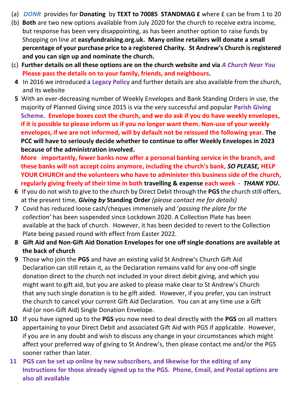- (a) *DONR* provides for **Donating** by **TEXT to 70085 STANDMAG £** where £ can be from 1 to 20
- (b) **Both** are two new options available from July 2020 for the church to receive extra income, but response has been very disappointing, as has been another option to raise funds by Shopping on line at **easyfundraising.org.uk. Many online retailers will donate a small percentage of your purchase price to a registered Charity. St Andrew's Church is registered and you can sign up and nominate the church.**
- (c) **Further details on all these options are on the church website and via** *A Church Near You*  **Please pass the details on to your family, friends, and neighbours.**
- **4** In 2016 we introduced a **Legacy Policy** and further details are also available from the church, and its website
- **5** With an ever-decreasing number of Weekly Envelopes and Bank Standing Orders in use, the majority of Planned Giving since 2015 is via the very successful and popular **Parish Giving Scheme. Envelope boxes cost the church, and we do ask if you do have weekly envelopes, if it is possible to please inform us if you no longer want them. Non-use of your weekly envelopes, if we are not informed, will by default not be reissued the following year. The PCC will have to seriously decide whether to continue to offer Weekly Envelopes in 2023 because of the administration involved.**

 **More importantly, fewer banks now offer a personal banking service in the branch, and these banks will not accept coins anymore, including the church's bank,** *SO PLEASE,* **HELP YOUR CHURCH and the volunteers who have to administer this business side of the church, regularly giving freely of their time in both travelling & expense each week -** *THANK YOU.*

- **6** If you do not wish to give to the church by Direct Debit through the **PGS** the church still offers, at the present time, *Giving by* **Standing Order** *(please contact me for details)*
- **7** Covid has reduced loose cash/cheques immensely and '*passing the plate for the collection'* has been suspended since Lockdown 2020. A Collection Plate has been available at the back of church. However, it has been decided to revert to the Collection Plate being passed round with effect from Easter 2022.
- **8 Gift Aid and Non-Gift Aid Donation Envelopes for one off single donations are available at the back of church**
- **9** Those who join the **PGS** and have an existing valid St Andrew's Church Gift Aid Declaration can still retain it, as the Declaration remains valid for any one-off single donation direct to the church not included in your direct debit giving, and which you might want to gift aid, but you are asked to please make clear to St Andrew's Church that any such single donation is to be gift aided. However, if you prefer, you can instruct the church to cancel your current Gift Aid Declaration. You can at any time use a Gift Aid (or non-Gift Aid) Single Donation Envelope.
- **10** If you have signed up to the **PGS** you now need to deal directly with the **PGS** on all matters appertaining to your Direct Debit and associated Gift Aid with PGS if applicable. However, if you are in any doubt and wish to discuss any change in your circumstances which might affect your preferred way of giving to St Andrew's, then please contact me and/or the PGS sooner rather than later.
- **11 PGS can be set up online by new subscribers, and likewise for the editing of any Instructions for those already signed up to the PGS. Phone, Email, and Postal options are also all available**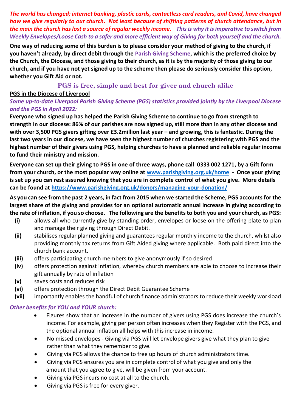#### *The world has changed; internet banking, plastic cards, contactless card readers, and Covid, have changed how we give regularly to our church. Not least because of shifting patterns of church attendance, but in the main the church has lost a source of regular weekly income. This is why it is imperative to switch from Weekly Envelopes/Loose Cash to a safer and more efficient way of Giving for both yourself and the church.*

**One way of reducing some of this burden is to please consider your method of giving to the church, if you haven't already, by direct debit through the Parish Giving Scheme, which is the preferred choice by the Church, the Diocese, and those giving to their church, as it is by the majority of those giving to our church, and if you have not yet signed up to the scheme then please do seriously consider this option, whether you Gift Aid or not.** 

#### **PGS is free, simple and best for giver and church alike**

#### **PGS in the Diocese of Liverpool**

#### *Some up-to-date Liverpool Parish Giving Scheme (PGS) statistics provided jointly by the Liverpool Diocese and the PGS in April 2022:*

**Everyone who signed up has helped the Parish Giving Scheme to continue to go from strength to strength in our diocese: 86% of our parishes are now signed up, still more than in any other diocese and with over 3,500 PGS givers gifting over £3.2million last year – and growing, this is fantastic. During the last two years in our diocese, we have seen the highest number of churches registering with PGS and the highest number of their givers using PGS, helping churches to have a planned and reliable regular income to fund their ministry and mission.** 

**Everyone can set up their giving to PGS in one of three ways, phone call 0333 002 1271, by a Gift form from your church, or the most popular way online a[t www.parishgiving.org.uk/home](http://www.parishgiving.org.uk/home) - Once your giving is set up you can rest assured knowing that you are in complete control of what you give. More details can be found a[t https://www.parishgiving.org.uk/donors/managing-your-donation/](https://www.parishgiving.org.uk/donors/managing-your-donation/)**

**As you can see from the past 2 years, in fact from 2015 when we started the Scheme, PGS accounts for the largest share of the giving and provides for an optional automatic annual increase in giving according to the rate of inflation, if you so choose. The following are the benefits to both you and your church, as PGS:**

- **(i)** allows all who currently give by standing order, envelopes or loose on the offering plate to plan and manage their giving through Direct Debit.
- **(ii)** stabilises regular planned giving and guarantees regular monthly income to the church, whilst also providing monthly tax returns from Gift Aided giving where applicable. Both paid direct into the church bank account.
- **(iii)** offers participating church members to give anonymously if so desired
- **(iv)** offers protection against inflation, whereby church members are able to choose to increase their gift annually by rate of inflation
- **(v)** saves costs and reduces risk
- **(vi)** offers protection through the Direct Debit Guarantee Scheme
- **(vii)** importantly enables the handful of church finance administrators to reduce their weekly workload

#### *Other benefits for YOU and YOUR church:*

- Figures show that an increase in the number of givers using PGS does increase the church's income. For example, giving per person often increases when they Register with the PGS, and the optional annual inflation all helps with this increase in income.
- No missed envelopes Giving via PGS will let envelope givers give what they plan to give rather than what they remember to give.
- Giving via PGS allows the chance to free up hours of church administrators time.
- Giving via PGS ensures you are in complete control of what you give and only the amount that you agree to give, will be given from your account.
- Giving via PGS incurs no cost at all to the church.
- Giving via PGS is free for every giver.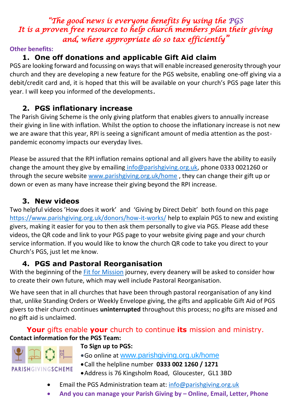## *"The good news is everyone benefits by using the PGS It is a proven free resource to help church members plan their giving and, where appropriate do so tax efficiently"*

### **Other benefits:**

### **1. One off donations and applicable Gift Aid claim**

PGS are looking forward and focussing on ways that will enable increased generosity through your church and they are developing a new feature for the PGS website, enabling one-off giving via a debit/credit card and, it is hoped that this will be available on your church's PGS page later this year. I will keep you informed of the developments.

### **2. PGS inflationary increase**

The Parish Giving Scheme is the only giving platform that enables givers to annually increase their giving in line with inflation. Whilst the option to choose the inflationary increase is not new we are aware that this year, RPI is seeing a significant amount of media attention as the postpandemic economy impacts our everyday lives.

Please be assured that the RPI inflation remains optional and all givers have the ability to easily change the amount they give by emailing [info@parishgiving.org.uk,](mailto:info@parishgiving.org.uk?subject=PGS%20-%20Enquiry) phone 0333 0021260 or through the secure website [www.parishgiving.org.uk/home](http://www.parishgiving.org.uk/home), they can change their gift up or down or even as many have increase their giving beyond the RPI increase.

### **3. New videos**

Two helpful videos 'How does it work' and 'Giving by Direct Debit' both found on this page <https://www.parishgiving.org.uk/donors/how-it-works/> help to explain PGS to new and existing givers, making it easier for you to then ask them personally to give via PGS. Please add these videos, the QR code and link to your PGS page to your website giving page and your church service information. If you would like to know the church QR code to take you direct to your Church's PGS, just let me know.

### **4. PGS and Pastoral Reorganisation**

With the beginning of the [Fit for Mission](https://www.liverpool.anglican.org/making-it-easier-parishes/fitformission/) journey, every deanery will be asked to consider how to create their own future, which may well include Pastoral Reorganisation.

We have seen that in all churches that have been through pastoral reorganisation of any kind that, unlike Standing Orders or Weekly Envelope giving, the gifts and applicable Gift Aid of PGS givers to their church continues **uninterrupted** throughout this process; no gifts are missed and no gift aid is unclaimed.

### **Your** gifts enable **your** church to continue **its** mission and ministry.

### **Contact information for the PGS Team:**



### **To Sign up to PGS:**

- •Go online at [www.parishgiving.org.uk/](https://501xw.r.a.d.sendibm1.com/mk/cl/f/ERsP78tPKsYvEJ1IqFNWMDDpupwiImaOQ4HUI5Scy0v4R0fbwkNr5sfa6bbNmvHYayqgWi2UZsTnFQIoOFbAZz5N06K50cFhW8iuMRsqQP3BoJ2kCHmRoP6RvtUUsIKlORmMttMFkMZwYubEoVdkvKFLyY0iD_FYv309Wy6nNPxJ_Hs)home
- •Call the helpline number **0333 002 1260 / 1271**
- •Address is 76 Kingsholm Road, Gloucester, GL1 3BD
- Email the PGS Administration team at: [info@parishgiving.org.uk](mailto:info@parishgiving.org.uk)
- **And you can manage your Parish Giving by – Online, Email, Letter, Phone**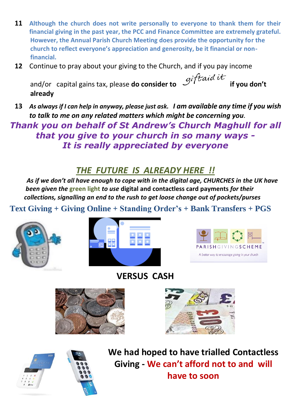- **11 Although the church does not write personally to everyone to thank them for their financial giving in the past year, the PCC and Finance Committee are extremely grateful. However, the Annual Parish Church Meeting does provide the opportunity for the church to reflect everyone's appreciation and generosity, be it financial or non financial.**
- **12** Continue to pray about your giving to the Church, and if you pay income

and/or capital gains tax, please **do consider to** gift and it **if you don't already** 

**13** *As always if I can help in anyway, please just ask. I am available any time if you wish to talk to me on any related matters which might be concerning you.*

*Thank you on behalf of St Andrew's Church Maghull for all that you give to your church in so many ways - It is really appreciated by everyone*

## *THE FUTURE IS ALREADY HERE !!*

As if we don't all have enough to cope with in the digital age, CHURCHES in the UK have  *been given the* **green light** *to use* **digital and contactless card payments** *for their collections, signalling an end to the rush to get loose change out of pockets/purses* 

**Text Giving + Giving Online + Standing Order's + Bank Transfers + PGS**







## **VERSUS CASH**







**We had hoped to have trialled Contactless Giving - We can't afford not to and will have to soon**